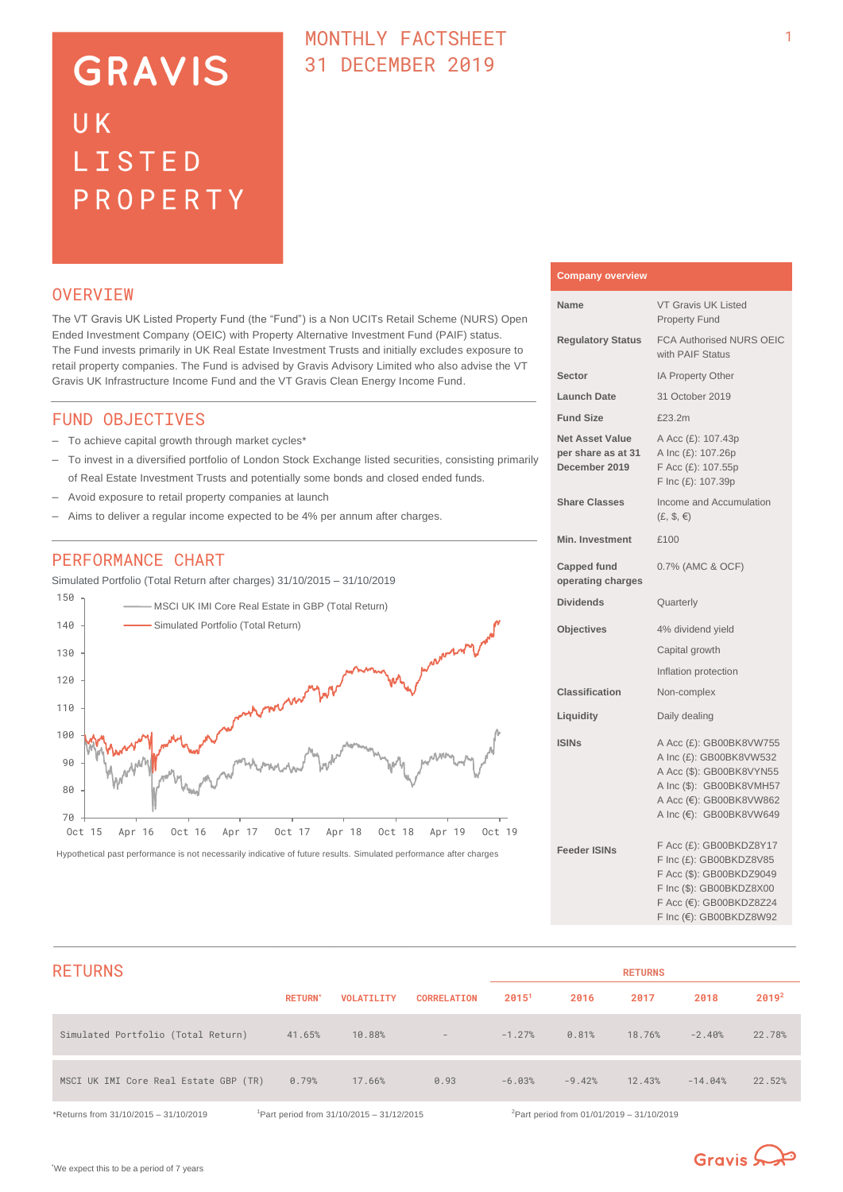# **GRAVIS** UK LISTED PROPERTY

### MONTHLY FACTSHEET 31 DECEMBER 2019

### **OVERVTEW**

The VT Gravis UK Listed Property Fund (the "Fund") is a Non UCITs Retail Scheme (NURS) Open Ended Investment Company (OEIC) with Property Alternative Investment Fund (PAIF) status. The Fund invests primarily in UK Real Estate Investment Trusts and initially excludes exposure to retail property companies. The Fund is advised by Gravis Advisory Limited who also advise the VT Gravis UK Infrastructure Income Fund and the VT Gravis Clean Energy Income Fund.

#### FUND OBJECTIVES

- To achieve capital growth through market cycles\*
- To invest in a diversified portfolio of London Stock Exchange listed securities, consisting primarily of Real Estate Investment Trusts and potentially some bonds and closed ended funds.
- Avoid exposure to retail property companies at launch
- Aims to deliver a regular income expected to be 4% per annum after charges.

#### PERFORMANCE CHART

Simulated Portfolio (Total Return after charges) 31/10/2015 – 31/10/2019



Hypothetical past performance is not necessarily indicative of future results. Simulated performance after charges

| <b>Company overview</b>                                       |                                                                                                                                                                  |
|---------------------------------------------------------------|------------------------------------------------------------------------------------------------------------------------------------------------------------------|
| Name                                                          | <b>VT Gravis UK Listed</b><br><b>Property Fund</b>                                                                                                               |
| <b>Regulatory Status</b>                                      | <b>FCA Authorised NURS OEIC</b><br>with PAIF Status                                                                                                              |
| Sector                                                        | IA Property Other                                                                                                                                                |
| <b>Launch Date</b>                                            | 31 October 2019                                                                                                                                                  |
| <b>Fund Size</b>                                              | £23.2m                                                                                                                                                           |
| <b>Net Asset Value</b><br>per share as at 31<br>December 2019 | A Acc (£): 107.43p<br>A Inc (£): 107.26p<br>F Acc (£): 107.55p<br>F Inc (£): 107.39p                                                                             |
| <b>Share Classes</b>                                          | Income and Accumulation<br>$(E, \, \$, \in)$                                                                                                                     |
| <b>Min. Investment</b>                                        | £100                                                                                                                                                             |
| <b>Capped fund</b><br>operating charges                       | 0.7% (AMC & OCF)                                                                                                                                                 |
| <b>Dividends</b>                                              | Quarterly                                                                                                                                                        |
| <b>Objectives</b>                                             | 4% dividend yield                                                                                                                                                |
|                                                               | Capital growth                                                                                                                                                   |
|                                                               | Inflation protection                                                                                                                                             |
| <b>Classification</b>                                         | Non-complex                                                                                                                                                      |
| Liquidity                                                     | Daily dealing                                                                                                                                                    |
| <b>ISINs</b>                                                  | A Acc (£): GB00BK8VW755<br>A Inc (£): GB00BK8VW532<br>A Acc (\$): GB00BK8VYN55<br>A Inc (\$): GB00BK8VMH57<br>A Acc (€): GB00BK8VW862<br>A Inc (€): GB00BK8VW649 |
| <b>Feeder ISINs</b>                                           | F Acc (£): GB00BKDZ8Y17<br>F Inc (£): GB00BKDZ8V85<br>F Acc (\$): GB00BKDZ9049<br>F Inc (\$): GB00BKDZ8X00<br>F Acc (€): GB00BKDZ8Z24<br>F Inc (€): GB00BKDZ8W92 |

| <b>RETURNS</b>                        |                |                   |                    | <b>RETURNS</b> |          |        |           |                   |
|---------------------------------------|----------------|-------------------|--------------------|----------------|----------|--------|-----------|-------------------|
|                                       | <b>RETURN*</b> | <b>VOLATILITY</b> | <b>CORRELATION</b> | 20151          | 2016     | 2017   | 2018      | 2019 <sup>2</sup> |
| Simulated Portfolio (Total Return)    | 41.65%         | 10.88%            | $\sim$             | $-1.27%$       | 0.81%    | 18.76% | $-2.40%$  | 22.78%            |
| MSCI UK IMI Core Real Estate GBP (TR) | 0.79%          | 17.66%            | 0.93               | $-6.03%$       | $-9.42%$ | 12.43% | $-14.04%$ | 22.52%            |

\*Returns from 31/10/2015 – 31/10/2019 <sup>1</sup>Part period from 31/10/2015 – 31/12/2015 <sup>2</sup>Part period from 01/01/2019 – 31/10/2019

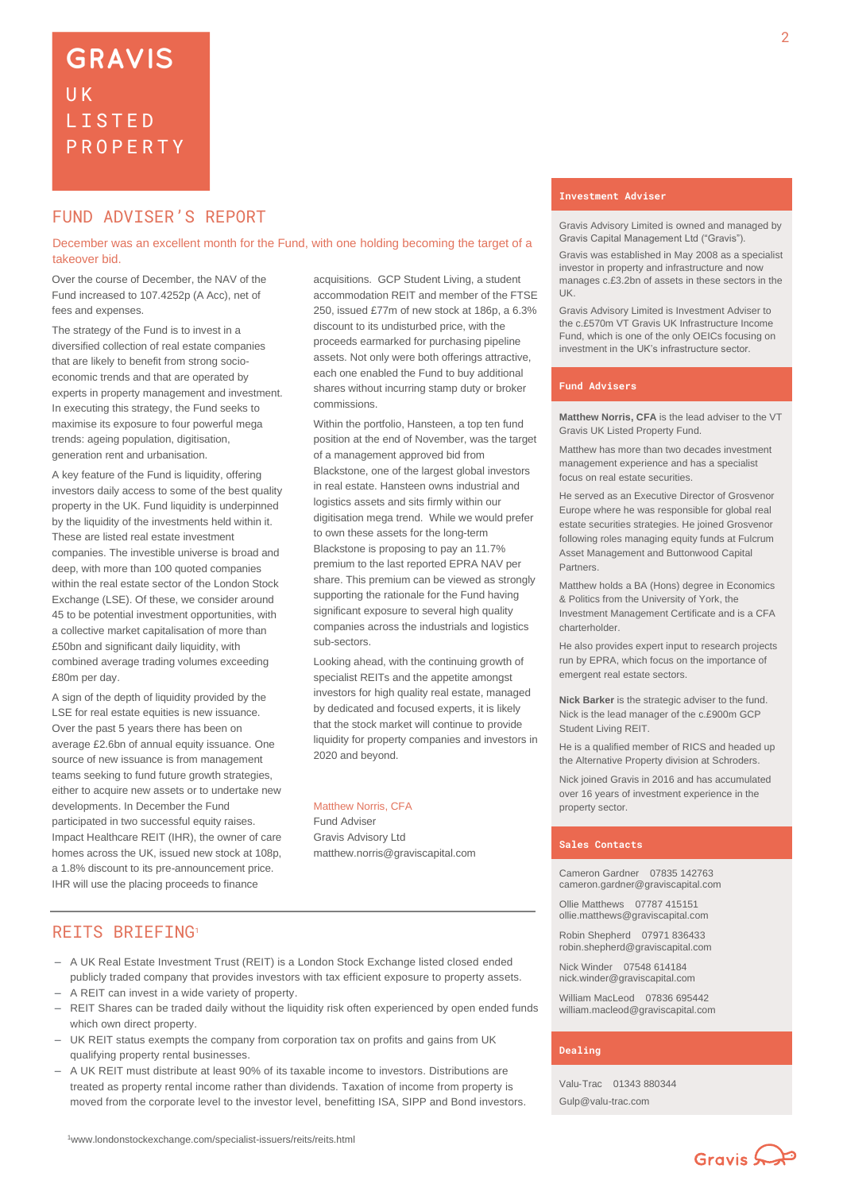### FUND ADVISER'S REPORT

December was an excellent month for the Fund, with one holding becoming the target of a takeover bid.

Over the course of December, the NAV of the Fund increased to 107.4252p (A Acc), net of fees and expenses.

The strategy of the Fund is to invest in a diversified collection of real estate companies that are likely to benefit from strong socioeconomic trends and that are operated by experts in property management and investment. In executing this strategy, the Fund seeks to maximise its exposure to four powerful mega trends: ageing population, digitisation, generation rent and urbanisation.

A key feature of the Fund is liquidity, offering investors daily access to some of the best quality property in the UK. Fund liquidity is underpinned by the liquidity of the investments held within it. These are listed real estate investment companies. The investible universe is broad and deep, with more than 100 quoted companies within the real estate sector of the London Stock Exchange (LSE). Of these, we consider around 45 to be potential investment opportunities, with a collective market capitalisation of more than £50bn and significant daily liquidity, with combined average trading volumes exceeding £80m per day.

A sign of the depth of liquidity provided by the LSE for real estate equities is new issuance. Over the past 5 years there has been on average £2.6bn of annual equity issuance. One source of new issuance is from management teams seeking to fund future growth strategies, either to acquire new assets or to undertake new developments. In December the Fund participated in two successful equity raises. Impact Healthcare REIT (IHR), the owner of care homes across the UK, issued new stock at 108p, a 1.8% discount to its pre-announcement price. IHR will use the placing proceeds to finance

acquisitions. GCP Student Living, a student accommodation REIT and member of the FTSE 250, issued £77m of new stock at 186p, a 6.3% discount to its undisturbed price, with the proceeds earmarked for purchasing pipeline assets. Not only were both offerings attractive, each one enabled the Fund to buy additional shares without incurring stamp duty or broker commissions.

Within the portfolio, Hansteen, a top ten fund position at the end of November, was the target of a management approved bid from Blackstone, one of the largest global investors in real estate. Hansteen owns industrial and logistics assets and sits firmly within our digitisation mega trend. While we would prefer to own these assets for the long-term Blackstone is proposing to pay an 11.7% premium to the last reported EPRA NAV per share. This premium can be viewed as strongly supporting the rationale for the Fund having significant exposure to several high quality companies across the industrials and logistics sub-sectors.

Looking ahead, with the continuing growth of specialist REITs and the appetite amongst investors for high quality real estate, managed by dedicated and focused experts, it is likely that the stock market will continue to provide liquidity for property companies and investors in 2020 and beyond.

#### Matthew Norris, CFA

Fund Adviser Gravis Advisory Ltd matthew.norris@graviscapital.com

#### **Investment Adviser**

Gravis Advisory Limited is owned and managed by Gravis Capital Management Ltd ("Gravis").

Gravis was established in May 2008 as a specialist investor in property and infrastructure and now manages c.£3.2bn of assets in these sectors in the UK.

Gravis Advisory Limited is Investment Adviser to the c.£570m VT Gravis UK Infrastructure Income Fund, which is one of the only OEICs focusing on investment in the UK's infrastructure sector.

#### **Fund Advisers**

**Matthew Norris, CFA** is the lead adviser to the VT Gravis UK Listed Property Fund.

Matthew has more than two decades investment management experience and has a specialist focus on real estate securities.

He served as an Executive Director of Grosvenor Europe where he was responsible for global real estate securities strategies. He joined Grosvenor following roles managing equity funds at Fulcrum Asset Management and Buttonwood Capital Partners.

Matthew holds a BA (Hons) degree in Economics & Politics from the University of York, the Investment Management Certificate and is a CFA charterholder.

He also provides expert input to research projects run by EPRA, which focus on the importance of emergent real estate sectors.

**Nick Barker** is the strategic adviser to the fund. Nick is the lead manager of the c.£900m GCP Student Living REIT.

He is a qualified member of RICS and headed up the Alternative Property division at Schroders.

Nick joined Gravis in 2016 and has accumulated over 16 years of investment experience in the property sector.

#### **Sales Contacts**

Cameron Gardner 07835 142763 cameron.gardner@graviscapital.com

Ollie Matthews 07787 415151 [ollie.matthews@graviscapital.com](mailto:ollie.matthews@graviscapital.com)

Robin Shepherd 07971 836433 [robin.shepherd@graviscapital.com](mailto:robin.shepherd@graviscapital.com)

Nick Winder [07548 614184](tel:07548%20614184) [nick.winder@graviscapital.com](mailto:nick.winder@graviscapital.com)

William MacLeod 07836 695442 [william.macleod@graviscapital.com](mailto:william.macleod@graviscapital.com)

#### **Dealing**

Valu‑Trac 01343 880344 Gulp@valu-trac.com

REITS BRIEFING<sup>1</sup>

- A UK Real Estate Investment Trust (REIT) is a London Stock Exchange listed closed ended publicly traded company that provides investors with tax efficient exposure to property assets.
- A REIT can invest in a wide variety of property.
- REIT Shares can be traded daily without the liquidity risk often experienced by open ended funds which own direct property.
- UK REIT status exempts the company from corporation tax on profits and gains from UK qualifying property rental businesses.
- A UK REIT must distribute at least 90% of its taxable income to investors. Distributions are treated as property rental income rather than dividends. Taxation of income from property is moved from the corporate level to the investor level, benefitting ISA, SIPP and Bond investors.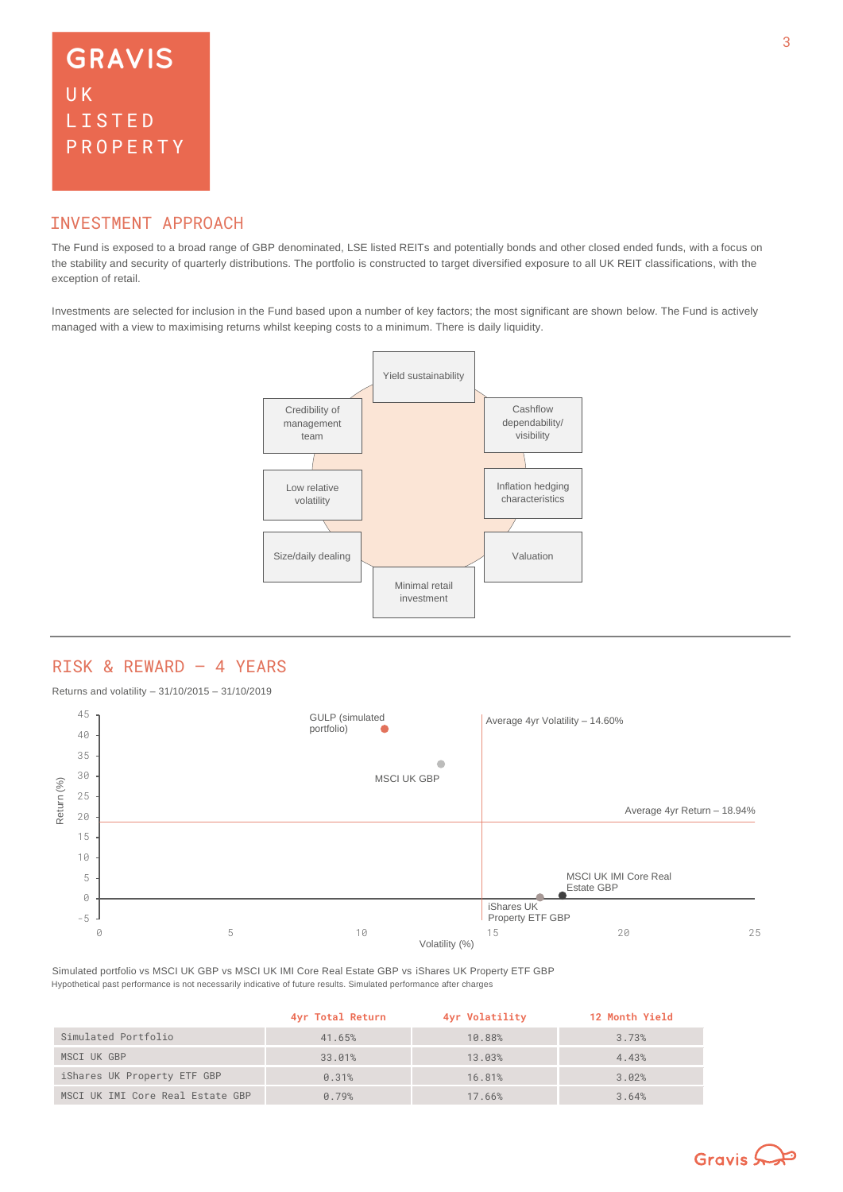### INVESTMENT APPROACH

The Fund is exposed to a broad range of GBP denominated, LSE listed REITs and potentially bonds and other closed ended funds, with a focus on the stability and security of quarterly distributions. The portfolio is constructed to target diversified exposure to all UK REIT classifications, with the exception of retail.

Investments are selected for inclusion in the Fund based upon a number of key factors; the most significant are shown below. The Fund is actively managed with a view to maximising returns whilst keeping costs to a minimum. There is daily liquidity.



### RISK & REWARD – 4 YEARS

Returns and volatility – 31/10/2015 – 31/10/2019



Hypothetical past performance is not necessarily indicative of future results. Simulated performance after charges Simulated portfolio vs MSCI UK GBP vs MSCI UK IMI Core Real Estate GBP vs iShares UK Property ETF GBP

|                                  | 4yr Total Return | 4yr Volatility | <b>12 Month Yield</b> |
|----------------------------------|------------------|----------------|-----------------------|
| Simulated Portfolio              | 41.65%           | 10.88%         | 3.73%                 |
| MSCI UK GBP                      | 33.01%           | 13.03%         | 4.43%                 |
| iShares UK Property ETF GBP      | 0.31%            | 16.81%         | 3.02%                 |
| MSCI UK IMI Core Real Estate GBP | 0.79%            | 17.66%         | 3.64%                 |